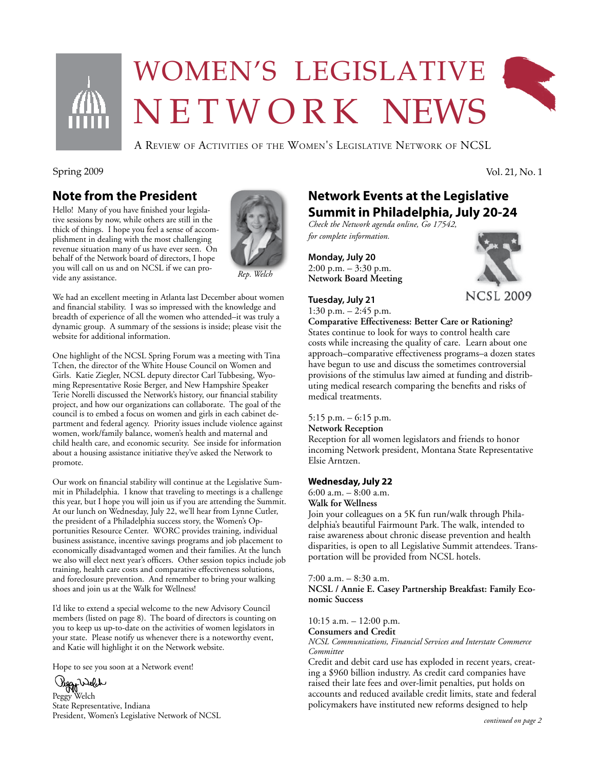

# Women's legislative N E T W O R K NEWS



Spring 2009 Vol. 21, No. 1

#### **Note from the President**

Hello! Many of you have finished your legislative sessions by now, while others are still in the thick of things. I hope you feel a sense of accomplishment in dealing with the most challenging revenue situation many of us have ever seen. On behalf of the Network board of directors, I hope you will call on us and on NCSL if we can provide any assistance.



*Rep. Welch*

We had an excellent meeting in Atlanta last December about women and financial stability. I was so impressed with the knowledge and breadth of experience of all the women who attended–it was truly a dynamic group. A summary of the sessions is inside; please visit the website for additional information.

One highlight of the NCSL Spring Forum was a meeting with Tina Tchen, the director of the White House Council on Women and Girls. Katie Ziegler, NCSL deputy director Carl Tubbesing, Wyoming Representative Rosie Berger, and New Hampshire Speaker Terie Norelli discussed the Network's history, our financial stability project, and how our organizations can collaborate. The goal of the council is to embed a focus on women and girls in each cabinet department and federal agency. Priority issues include violence against women, work/family balance, women's health and maternal and child health care, and economic security. See inside for information about a housing assistance initiative they've asked the Network to promote.

Our work on financial stability will continue at the Legislative Summit in Philadelphia. I know that traveling to meetings is a challenge this year, but I hope you will join us if you are attending the Summit. At our lunch on Wednesday, July 22, we'll hear from Lynne Cutler, the president of a Philadelphia success story, the Women's Opportunities Resource Center. WORC provides training, individual business assistance, incentive savings programs and job placement to economically disadvantaged women and their families. At the lunch we also will elect next year's officers. Other session topics include job training, health care costs and comparative effectiveness solutions, and foreclosure prevention. And remember to bring your walking shoes and join us at the Walk for Wellness!

I'd like to extend a special welcome to the new Advisory Council members (listed on page 8). The board of directors is counting on you to keep us up-to-date on the activities of women legislators in your state. Please notify us whenever there is a noteworthy event, and Katie will highlight it on the Network website.

Hope to see you soon at a Network event!

Viggy Welch

State Representative, Indiana President, Women's Legislative Network of NCSL

## **Network Events at the Legislative Summit in Philadelphia, July 20-24**

*Check the Network agenda online, Go 17542, for complete information.*

**Monday, July 20** 2:00 p.m. – 3:30 p.m. **Network Board Meeting**

#### **Tuesday, July 21**





**Comparative Effectiveness: Better Care or Rationing?** States continue to look for ways to control health care costs while increasing the quality of care. Learn about one approach–comparative effectiveness programs–a dozen states have begun to use and discuss the sometimes controversial provisions of the stimulus law aimed at funding and distributing medical research comparing the benefits and risks of medical treatments.

#### 5:15 p.m. – 6:15 p.m.

**Network Reception**

Reception for all women legislators and friends to honor incoming Network president, Montana State Representative Elsie Arntzen.

#### **Wednesday, July 22**

6:00 a.m. – 8:00 a.m. **Walk for Wellness** Join your colleagues on a 5K fun run/walk through Philadelphia's beautiful Fairmount Park. The walk, intended to raise awareness about chronic disease prevention and health disparities, is open to all Legislative Summit attendees. Trans-

portation will be provided from NCSL hotels.

#### 7:00 a.m. – 8:30 a.m.

**NCSL / Annie E. Casey Partnership Breakfast: Family Economic Success**

10:15 a.m. – 12:00 p.m.

**Consumers and Credit**

*NCSL Communications, Financial Services and Interstate Commerce Committee*

Credit and debit card use has exploded in recent years, creating a \$960 billion industry. As credit card companies have raised their late fees and over-limit penalties, put holds on accounts and reduced available credit limits, state and federal policymakers have instituted new reforms designed to help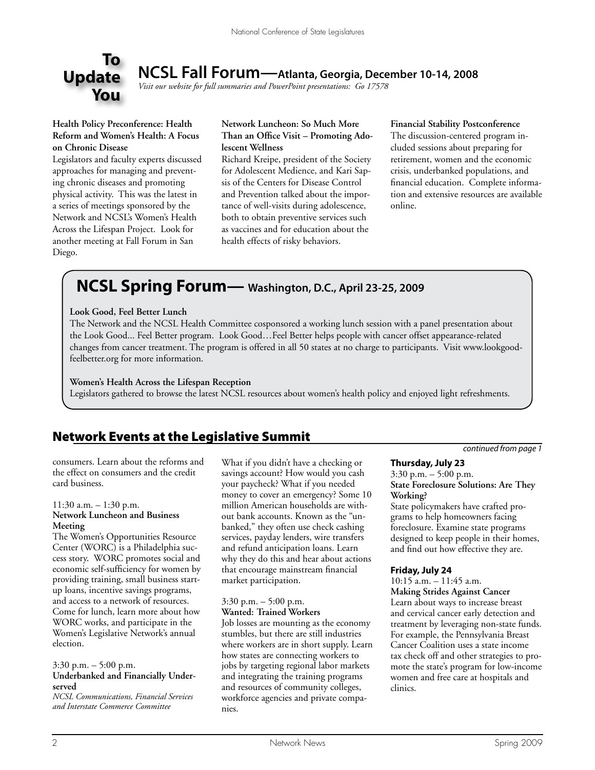

**NCSL Fall Forum—Atlanta, Georgia, December 10-14, 2008**

*Visit our website for full summaries and PowerPoint presentations: Go 17578*

#### **Health Policy Preconference: Health Reform and Women's Health: A Focus on Chronic Disease**

Legislators and faculty experts discussed approaches for managing and preventing chronic diseases and promoting physical activity. This was the latest in a series of meetings sponsored by the Network and NCSL's Women's Health Across the Lifespan Project. Look for another meeting at Fall Forum in San Diego.

#### **Network Luncheon: So Much More Than an Office Visit – Promoting Adolescent Wellness**

Richard Kreipe, president of the Society for Adolescent Medience, and Kari Sapsis of the Centers for Disease Control and Prevention talked about the importance of well-visits during adolescence, both to obtain preventive services such as vaccines and for education about the health effects of risky behaviors.

**Financial Stability Postconference** The discussion-centered program included sessions about preparing for retirement, women and the economic crisis, underbanked populations, and financial education. Complete information and extensive resources are available online.

# **NCSL Spring Forum— Washington, D.C., April 23-25, 2009**

#### **Look Good, Feel Better Lunch**

The Network and the NCSL Health Committee cosponsored a working lunch session with a panel presentation about the Look Good... Feel Better program. Look Good…Feel Better helps people with cancer offset appearance-related changes from cancer treatment. The program is offered in all 50 states at no charge to participants. Visit www.lookgoodfeelbetter.org for more information.

#### **Women's Health Across the Lifespan Reception**

Legislators gathered to browse the latest NCSL resources about women's health policy and enjoyed light refreshments.

#### Network Events at the Legislative Summit

consumers. Learn about the reforms and the effect on consumers and the credit card business.

#### 11:30 a.m. – 1:30 p.m. **Network Luncheon and Business Meeting**

The Women's Opportunities Resource Center (WORC) is a Philadelphia success story. WORC promotes social and economic self-sufficiency for women by providing training, small business startup loans, incentive savings programs, and access to a network of resources. Come for lunch, learn more about how WORC works, and participate in the Women's Legislative Network's annual election.

#### 3:30 p.m. – 5:00 p.m.

#### **Underbanked and Financially Underserved**

*NCSL Communications, Financial Services and Interstate Commerce Committee*

What if you didn't have a checking or savings account? How would you cash your paycheck? What if you needed money to cover an emergency? Some 10 million American households are without bank accounts. Known as the "unbanked," they often use check cashing services, payday lenders, wire transfers and refund anticipation loans. Learn why they do this and hear about actions that encourage mainstream financial market participation.

#### 3:30 p.m. – 5:00 p.m. **Wanted: Trained Workers**

Job losses are mounting as the economy stumbles, but there are still industries where workers are in short supply. Learn how states are connecting workers to jobs by targeting regional labor markets and integrating the training programs and resources of community colleges, workforce agencies and private companies.

*continued from page 1*

#### **Thursday, July 23**

3:30 p.m. – 5:00 p.m. **State Foreclosure Solutions: Are They Working?**

State policymakers have crafted programs to help homeowners facing foreclosure. Examine state programs designed to keep people in their homes, and find out how effective they are.

#### **Friday, July 24**

10:15 a.m. – 11:45 a.m.

**Making Strides Against Cancer** Learn about ways to increase breast and cervical cancer early detection and treatment by leveraging non-state funds. For example, the Pennsylvania Breast Cancer Coalition uses a state income tax check off and other strategies to promote the state's program for low-income women and free care at hospitals and clinics.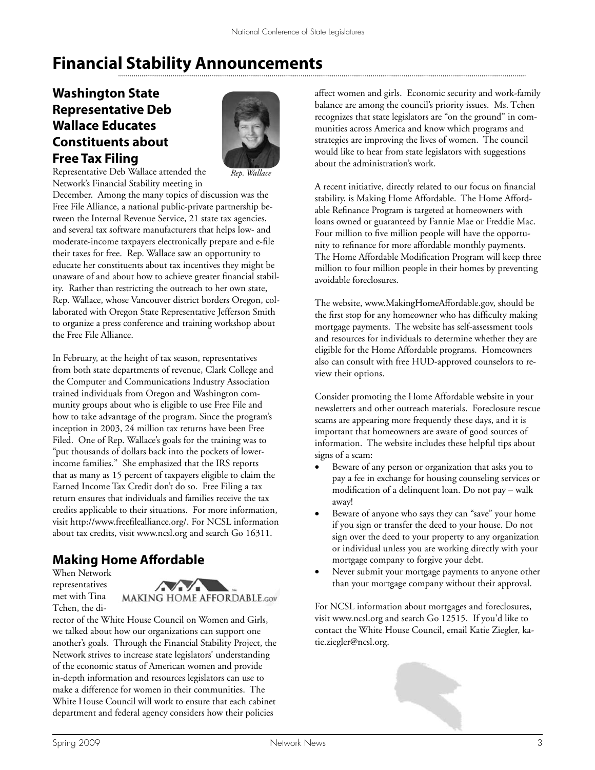# **Financial Stability Announcements**

## **Washington State Representative Deb Wallace Educates Constituents about Free Tax Filing**



*Rep. Wallace*

Representative Deb Wallace attended the Network's Financial Stability meeting in

December. Among the many topics of discussion was the Free File Alliance, a national public-private partnership between the Internal Revenue Service, 21 state tax agencies, and several tax software manufacturers that helps low- and moderate-income taxpayers electronically prepare and e-file their taxes for free. Rep. Wallace saw an opportunity to educate her constituents about tax incentives they might be unaware of and about how to achieve greater financial stability. Rather than restricting the outreach to her own state, Rep. Wallace, whose Vancouver district borders Oregon, collaborated with Oregon State Representative Jefferson Smith to organize a press conference and training workshop about the Free File Alliance.

In February, at the height of tax season, representatives from both state departments of revenue, Clark College and the Computer and Communications Industry Association trained individuals from Oregon and Washington community groups about who is eligible to use Free File and how to take advantage of the program. Since the program's inception in 2003, 24 million tax returns have been Free Filed. One of Rep. Wallace's goals for the training was to "put thousands of dollars back into the pockets of lowerincome families." She emphasized that the IRS reports that as many as 15 percent of taxpayers eligible to claim the Earned Income Tax Credit don't do so. Free Filing a tax return ensures that individuals and families receive the tax credits applicable to their situations. For more information, visit http://www.freefilealliance.org/. For NCSL information about tax credits, visit www.ncsl.org and search Go 16311.

#### **Making Home Affordable**

When Network representatives met with Tina

Tchen, the di-



rector of the White House Council on Women and Girls, we talked about how our organizations can support one another's goals. Through the Financial Stability Project, the Network strives to increase state legislators' understanding of the economic status of American women and provide in-depth information and resources legislators can use to make a difference for women in their communities. The White House Council will work to ensure that each cabinet department and federal agency considers how their policies

affect women and girls. Economic security and work-family balance are among the council's priority issues. Ms. Tchen recognizes that state legislators are "on the ground" in communities across America and know which programs and strategies are improving the lives of women. The council would like to hear from state legislators with suggestions about the administration's work.

A recent initiative, directly related to our focus on financial stability, is Making Home Affordable. The Home Affordable Refinance Program is targeted at homeowners with loans owned or guaranteed by Fannie Mae or Freddie Mac. Four million to five million people will have the opportunity to refinance for more affordable monthly payments. The Home Affordable Modification Program will keep three million to four million people in their homes by preventing avoidable foreclosures.

The website, www.MakingHomeAffordable.gov, should be the first stop for any homeowner who has difficulty making mortgage payments. The website has self-assessment tools and resources for individuals to determine whether they are eligible for the Home Affordable programs. Homeowners also can consult with free HUD-approved counselors to review their options.

Consider promoting the Home Affordable website in your newsletters and other outreach materials. Foreclosure rescue scams are appearing more frequently these days, and it is important that homeowners are aware of good sources of information. The website includes these helpful tips about signs of a scam:

- Beware of any person or organization that asks you to pay a fee in exchange for housing counseling services or modification of a delinquent loan. Do not pay – walk away!
- Beware of anyone who says they can "save" your home if you sign or transfer the deed to your house. Do not sign over the deed to your property to any organization or individual unless you are working directly with your mortgage company to forgive your debt.
- Never submit your mortgage payments to anyone other than your mortgage company without their approval.

For NCSL information about mortgages and foreclosures, visit www.ncsl.org and search Go 12515. If you'd like to contact the White House Council, email Katie Ziegler, katie.ziegler@ncsl.org.

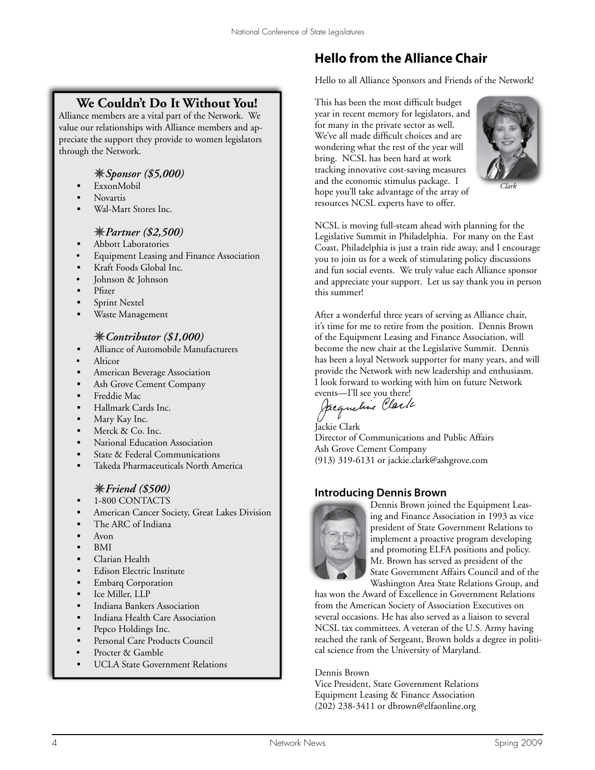#### **We Couldn't Do It Without You!**

Alliance members are a vital part of the Network. We value our relationships with Alliance members and appreciate the support they provide to women legislators through the Network.

#### *Sponsor (\$5,000)*

- *•* ExxonMobil
- *•* Novartis
- *•* Wal-Mart Stores Inc.

#### *Partner (\$2,500)*

- *•* Abbott Laboratories
- Equipment Leasing and Finance Association
- *•* Kraft Foods Global Inc.
- Johnson & Johnson
- *•* Pfizer
- *•* Sprint Nextel
- *•* Waste Management

#### *Contributor (\$1,000)*

- *•* Alliance of Automobile Manufacturers
- Alticor
- *•* American Beverage Association
- *•* Ash Grove Cement Company
- *•* Freddie Mac
- *•* Hallmark Cards Inc.
- Mary Kay Inc.
- Merck & Co. Inc.
- *•* National Education Association
- State & Federal Communications
- *•* Takeda Pharmaceuticals North America

#### *Friend (\$500)*

- 1-800 CONTACTS
- *•* American Cancer Society, Great Lakes Division
- *•* The ARC of Indiana
- *•* Avon
- *•* BMI
- *•* Clarian Health
- *•* Edison Electric Institute
- *•* Embarq Corporation
- *•* Ice Miller, LLP
- *•* Indiana Bankers Association
- *•* Indiana Health Care Association
- Pepco Holdings Inc.
- Personal Care Products Council
- Procter & Gamble
- UCLA State Government Relations

# **Hello from the Alliance Chair**

Hello to all Alliance Sponsors and Friends of the Network!

This has been the most difficult budget year in recent memory for legislators, and for many in the private sector as well. We've all made difficult choices and are wondering what the rest of the year will bring. NCSL has been hard at work tracking innovative cost-saving measures and the economic stimulus package. I hope you'll take advantage of the array of resources NCSL experts have to offer.



*Clark*

NCSL is moving full-steam ahead with planning for the Legislative Summit in Philadelphia. For many on the East Coast, Philadelphia is just a train ride away, and I encourage you to join us for a week of stimulating policy discussions and fun social events. We truly value each Alliance sponsor and appreciate your support. Let us say thank you in person this summer!

After a wonderful three years of serving as Alliance chair, it's time for me to retire from the position. Dennis Brown of the Equipment Leasing and Finance Association, will become the new chair at the Legislative Summit. Dennis has been a loyal Network supporter for many years, and will provide the Network with new leadership and enthusiasm. I look forward to working with him on future Network

events—I'll see you there!<br>Jacqueline *Clarti* 

Jackie Clark Director of Communications and Public Affairs Ash Grove Cement Company (913) 319-6131 or jackie.clark@ashgrove.com

#### **Introducing Dennis Brown**



Dennis Brown joined the Equipment Leasing and Finance Association in 1993 as vice president of State Government Relations to implement a proactive program developing and promoting ELFA positions and policy. Mr. Brown has served as president of the State Government Affairs Council and of the Washington Area State Relations Group, and

has won the Award of Excellence in Government Relations from the American Society of Association Executives on several occasions. He has also served as a liaison to several NCSL tax committees. A veteran of the U.S. Army having reached the rank of Sergeant, Brown holds a degree in political science from the University of Maryland.

Dennis Brown

Vice President, State Government Relations Equipment Leasing & Finance Association (202) 238-3411 or dbrown@elfaonline.org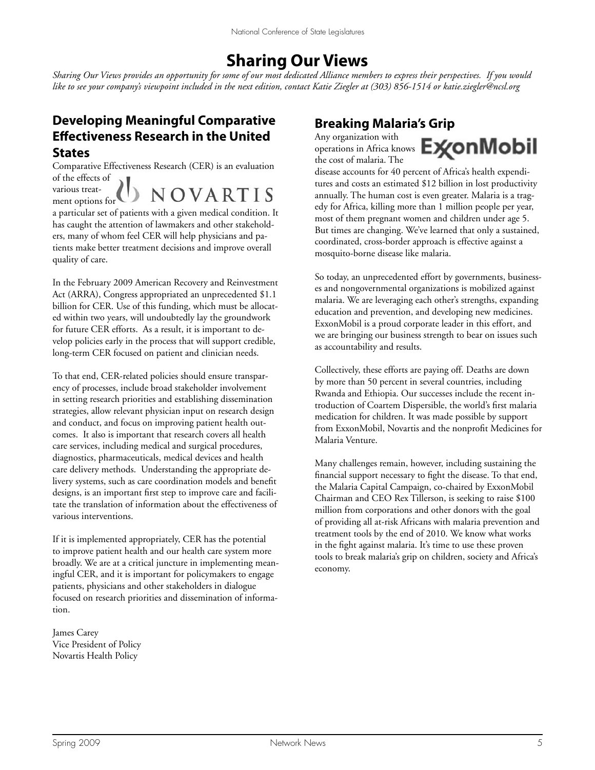# **Sharing Our Views**

*Sharing Our Views provides an opportunity for some of our most dedicated Alliance members to express their perspectives. If you would like to see your company's viewpoint included in the next edition, contact Katie Ziegler at (303) 856-1514 or katie.ziegler@ncsl.org* 

#### **Developing Meaningful Comparative Effectiveness Research in the United States**

Comparative Effectiveness Research (CER) is an evaluation of the effects of various treat-NOVARTIS ment options for

a particular set of patients with a given medical condition. It has caught the attention of lawmakers and other stakeholders, many of whom feel CER will help physicians and patients make better treatment decisions and improve overall quality of care.

In the February 2009 American Recovery and Reinvestment Act (ARRA), Congress appropriated an unprecedented \$1.1 billion for CER. Use of this funding, which must be allocated within two years, will undoubtedly lay the groundwork for future CER efforts. As a result, it is important to develop policies early in the process that will support credible, long-term CER focused on patient and clinician needs.

To that end, CER-related policies should ensure transparency of processes, include broad stakeholder involvement in setting research priorities and establishing dissemination strategies, allow relevant physician input on research design and conduct, and focus on improving patient health outcomes. It also is important that research covers all health care services, including medical and surgical procedures, diagnostics, pharmaceuticals, medical devices and health care delivery methods. Understanding the appropriate delivery systems, such as care coordination models and benefit designs, is an important first step to improve care and facilitate the translation of information about the effectiveness of various interventions.

If it is implemented appropriately, CER has the potential to improve patient health and our health care system more broadly. We are at a critical juncture in implementing meaningful CER, and it is important for policymakers to engage patients, physicians and other stakeholders in dialogue focused on research priorities and dissemination of information.

James Carey Vice President of Policy Novartis Health Policy

#### **Breaking Malaria's Grip**

Any organization with the cost of malaria. The



disease accounts for 40 percent of Africa's health expenditures and costs an estimated \$12 billion in lost productivity annually. The human cost is even greater. Malaria is a tragedy for Africa, killing more than 1 million people per year, most of them pregnant women and children under age 5. But times are changing. We've learned that only a sustained, coordinated, cross-border approach is effective against a mosquito-borne disease like malaria.

So today, an unprecedented effort by governments, businesses and nongovernmental organizations is mobilized against malaria. We are leveraging each other's strengths, expanding education and prevention, and developing new medicines. ExxonMobil is a proud corporate leader in this effort, and we are bringing our business strength to bear on issues such as accountability and results.

Collectively, these efforts are paying off. Deaths are down by more than 50 percent in several countries, including Rwanda and Ethiopia. Our successes include the recent introduction of Coartem Dispersible, the world's first malaria medication for children. It was made possible by support from ExxonMobil, Novartis and the nonprofit Medicines for Malaria Venture.

Many challenges remain, however, including sustaining the financial support necessary to fight the disease. To that end, the Malaria Capital Campaign, co-chaired by ExxonMobil Chairman and CEO Rex Tillerson, is seeking to raise \$100 million from corporations and other donors with the goal of providing all at-risk Africans with malaria prevention and treatment tools by the end of 2010. We know what works in the fight against malaria. It's time to use these proven tools to break malaria's grip on children, society and Africa's economy.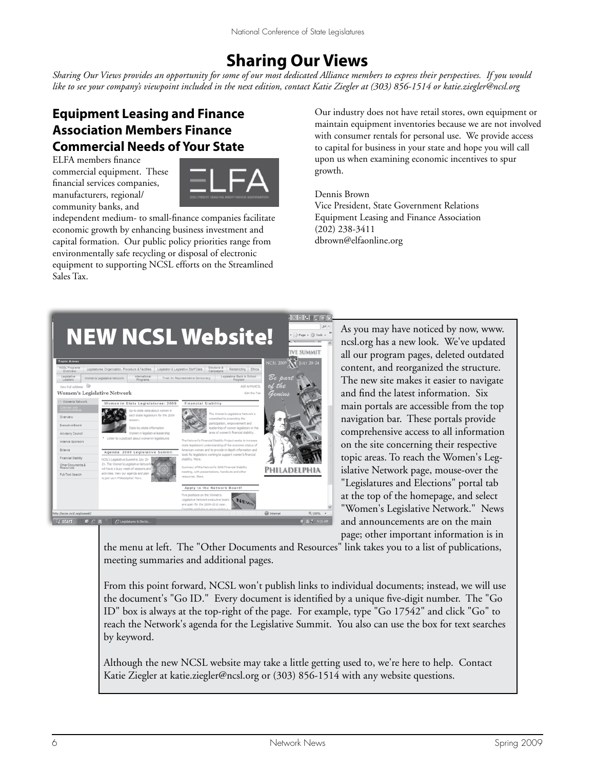# **Sharing Our Views**

*Sharing Our Views provides an opportunity for some of our most dedicated Alliance members to express their perspectives. If you would like to see your company's viewpoint included in the next edition, contact Katie Ziegler at (303) 856-1514 or katie.ziegler@ncsl.org* 

# **Equipment Leasing and Finance Association Members Finance Commercial Needs of Your State**

ELFA members finance commercial equipment. These financial services companies, manufacturers, regional/ community banks, and



independent medium- to small-finance companies facilitate economic growth by enhancing business investment and capital formation. Our public policy priorities range from environmentally safe recycling or disposal of electronic equipment to supporting NCSL efforts on the Streamlined Sales Tax.

Our industry does not have retail stores, own equipment or maintain equipment inventories because we are not involved with consumer rentals for personal use. We provide access to capital for business in your state and hope you will call upon us when examining economic incentives to spur growth.

#### Dennis Brown Vice President, State Government Relations Equipment Leasing and Finance Association (202) 238-3411 dbrown@elfaonline.org



As you may have noticed by now, www. ncsl.org has a new look. We've updated all our program pages, deleted outdated content, and reorganized the structure. The new site makes it easier to navigate and find the latest information. Six main portals are accessible from the top navigation bar. These portals provide comprehensive access to all information on the site concerning their respective topic areas. To reach the Women's Legislative Network page, mouse-over the "Legislatures and Elections" portal tab at the top of the homepage, and select "Women's Legislative Network." News and announcements are on the main page; other important information is in

the menu at left. The "Other Documents and Resources" link takes you to a list of publications, meeting summaries and additional pages.

From this point forward, NCSL won't publish links to individual documents; instead, we will use the document's "Go ID." Every document is identified by a unique five-digit number. The "Go ID" box is always at the top-right of the page. For example, type "Go 17542" and click "Go" to reach the Network's agenda for the Legislative Summit. You also can use the box for text searches by keyword.

Although the new NCSL website may take a little getting used to, we're here to help. Contact Katie Ziegler at katie.ziegler@ncsl.org or (303) 856-1514 with any website questions.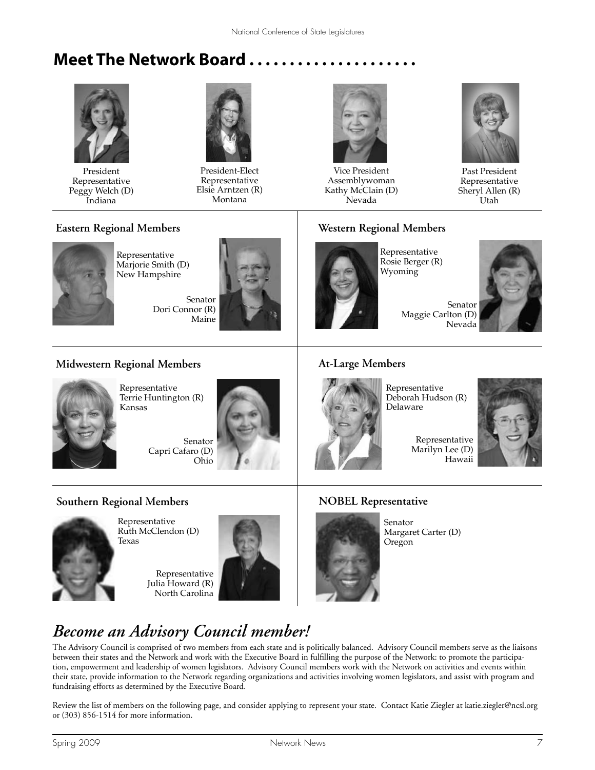# **Meet The Network Board . . . . . . . . . . . . . . . . . . . . .**



President Representative Peggy Welch (D) Indiana



President-Elect Representative Elsie Arntzen (R) Montana



Vice President Assemblywoman Kathy McClain (D) Nevada



Past President Representative Sheryl Allen (R) Utah

#### **Eastern Regional Members**



Representative Marjorie Smith (D) New Hampshire

> Senator Dori Connor (R) Maine



#### **Western Regional Members**



Representative Rosie Berger (R) Wyoming

Maggie Carlton (D) Nevada

# Senator

#### **Midwestern Regional Members**



Representative Terrie Huntington (R) Kansas

Senator Capri Cafaro (D) Ohio

# **Southern Regional Members**



Representative Ruth McClendon (D) Texas

Representative Julia Howard (R) North Carolina



#### **At-Large Members**



Representative Deborah Hudson (R) Delaware

Representative Marilyn Lee (D) Hawaii



#### **NOBEL Representative**



Senator Margaret Carter (D) Oregon

# *Become an Advisory Council member!*

The Advisory Council is comprised of two members from each state and is politically balanced. Advisory Council members serve as the liaisons between their states and the Network and work with the Executive Board in fulfilling the purpose of the Network: to promote the participation, empowerment and leadership of women legislators. Advisory Council members work with the Network on activities and events within their state, provide information to the Network regarding organizations and activities involving women legislators, and assist with program and fundraising efforts as determined by the Executive Board.

Review the list of members on the following page, and consider applying to represent your state. Contact Katie Ziegler at katie.ziegler@ncsl.org or (303) 856-1514 for more information.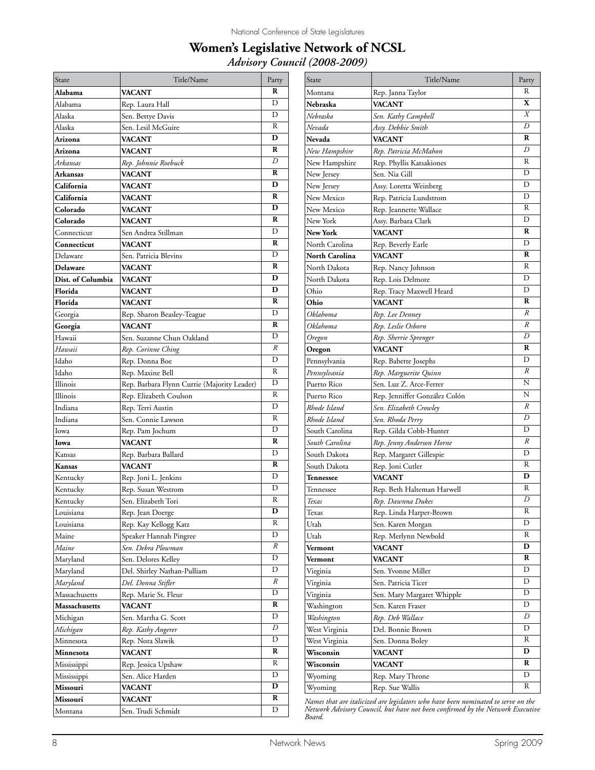#### **Women's Legislative Network of NCSL** *Advisory Council (2008-2009)*

| State                | Title/Name                                  | Party         |
|----------------------|---------------------------------------------|---------------|
| Alabama              | <b>VACANT</b>                               | R             |
| Alabama              | Rep. Laura Hall                             | D             |
| Alaska               | Sen. Bettye Davis                           | D             |
| Alaska               | Sen. Lesil McGuire                          | R             |
| Arizona              | <b>VACANT</b>                               | D             |
| Arizona              | <b>VACANT</b>                               | R             |
| Arkansas             | Rep. Johnnie Roebuck                        | D             |
| <b>Arkansas</b>      | <b>VACANT</b>                               | R             |
| California           | <b>VACANT</b>                               | D             |
| California           | <b>VACANT</b>                               | R             |
| Colorado             | VACANT                                      | D             |
| Colorado             | <b>VACANT</b>                               | R             |
| Connecticut          | Sen Andrea Stillman                         | D             |
| Connecticut          | <b>VACANT</b>                               | R             |
| Delaware             | Sen. Patricia Blevins                       | D             |
| Delaware             | <b>VACANT</b>                               | R             |
| Dist. of Columbia    | VACANT                                      | D             |
| Florida              | VACANT                                      | D             |
| Florida              | <b>VACANT</b>                               | R             |
| Georgia              | Rep. Sharon Beasley-Teague                  | D             |
| Georgia              | <b>VACANT</b>                               | R             |
| Hawaii               | Sen. Suzanne Chun Oakland                   | D             |
| Hawaii               | Rep. Corinne Ching                          | $\mathcal{R}$ |
| Idaho                | Rep. Donna Boe                              | D             |
| Idaho                | Rep. Maxine Bell                            | R             |
| Illinois             | Rep. Barbara Flynn Currie (Majority Leader) | D             |
| Illinois             | Rep. Elizabeth Coulson                      | R             |
| Indiana              | Rep. Terri Austin                           | D             |
| Indiana              | Sen. Connie Lawson                          | R             |
| Iowa                 | Rep. Pam Jochum                             | D             |
| Iowa                 | <b>VACANT</b>                               | R             |
| Kansas               | Rep. Barbara Ballard                        | D             |
| Kansas               | <b>VACANT</b>                               | R             |
| Kentucky             | Rep. Joni L. Jenkins                        | D             |
| Kentucky             | Rep. Susan Westrom                          | D             |
| Kentucky             | Sen. Elizabeth Tori                         | R             |
| Louisiana            | Rep. Jean Doerge                            | D             |
| Louisiana            | Rep. Kay Kellogg Katz                       | R             |
| Maine                | Speaker Hannah Pingree                      | D             |
| Maine                | Sen. Debra Plowman                          | R             |
| Maryland             | Sen. Delores Kelley                         | D             |
| Maryland             | Del. Shirley Nathan-Pulliam                 | D             |
| Maryland             | Del. Donna Stifler                          | R             |
| Massachusetts        | Rep. Marie St. Fleur                        | D             |
| <b>Massachusetts</b> | <b>VACANT</b>                               | R             |
|                      |                                             | D             |
| Michigan             | Sen. Martha G. Scott                        | D             |
| Michigan             | Rep. Kathy Angerer                          | D             |
| Minnesota            | Rep. Nora Slawik                            | R             |
| Minnesota            | <b>VACANT</b>                               | R             |
| Mississippi          | Rep. Jessica Upshaw                         | D             |
| Mississippi          | Sen. Alice Harden                           | D             |
| Missouri             | VACANT                                      | R             |
| Missouri             | VACANT                                      | D             |
| Montana              | Sen. Trudi Schmidt                          |               |

| R<br>Montana<br>Rep. Janna Taylor<br>X<br>Nebraska<br><b>VACANT</b><br>Χ<br>Nebraska<br>Sen. Kathy Campbell<br>D<br>Nevada<br>Assy. Debbie Smith<br>R<br>Nevada<br><b>VACANT</b><br>D<br>New Hampshire<br>Rep. Patricia McMahon<br>R<br>New Hampshire<br>Rep. Phyllis Katsakiones<br>D<br>Sen. Nia Gill<br>New Jersey<br>D<br>New Jersey<br>Assy. Loretta Weinberg<br>D<br>New Mexico<br>Rep. Patricia Lundstrom<br>R<br>New Mexico<br>Rep. Jeannette Wallace<br>D<br>New York<br>Assy. Barbara Clark<br>R<br><b>New York</b><br>VACANT<br>D<br>North Carolina<br>Rep. Beverly Earle<br>R<br><b>North Carolina</b><br>VACANT<br>R<br>North Dakota<br>Rep. Nancy Johnson<br>D<br>North Dakota<br>Rep. Lois Delmore<br>D<br>Ohio<br>Rep. Tracy Maxwell Heard<br>R<br>Ohio<br>VACANT<br>R<br>Oklahoma<br>Rep. Lee Denney<br>R<br>Oklahoma<br>Rep. Leslie Osborn<br>D<br>Rep. Sherrie Sprenger<br>Oregon<br>R<br>VACANT<br>Oregon<br>D<br>Pennsylvania<br>Rep. Babette Josephs<br>R<br>Pennsylvania<br>Rep. Marguerite Quinn<br>N<br>Puerto Rico<br>Sen. Luz Z. Arce-Ferrer<br>N<br>Puerto Rico<br>Rep. Jenniffer González Colón<br>R<br>Rhode Island<br>Sen. Elizabeth Crowley<br>D<br>Rhode Island<br>Sen. Rhoda Perry<br>D<br>South Carolina<br>Rep. Gilda Cobb-Hunter<br>R<br>South Carolina<br>Rep. Jenny Anderson Horne<br>D<br>South Dakota<br>Rep. Margaret Gillespie<br>R<br>South Dakota<br>Rep. Joni Cutler<br>D<br>VACANT<br><b>Tennessee</b><br>R<br>Rep. Beth Halteman Harwell<br>Tennessee<br>D<br>Texas<br>Rep. Dawnna Dukes<br>R<br>Texas<br>Rep. Linda Harper-Brown<br>D |
|----------------------------------------------------------------------------------------------------------------------------------------------------------------------------------------------------------------------------------------------------------------------------------------------------------------------------------------------------------------------------------------------------------------------------------------------------------------------------------------------------------------------------------------------------------------------------------------------------------------------------------------------------------------------------------------------------------------------------------------------------------------------------------------------------------------------------------------------------------------------------------------------------------------------------------------------------------------------------------------------------------------------------------------------------------------------------------------------------------------------------------------------------------------------------------------------------------------------------------------------------------------------------------------------------------------------------------------------------------------------------------------------------------------------------------------------------------------------------------------------------------------------------------------------------------------------------------------|
|                                                                                                                                                                                                                                                                                                                                                                                                                                                                                                                                                                                                                                                                                                                                                                                                                                                                                                                                                                                                                                                                                                                                                                                                                                                                                                                                                                                                                                                                                                                                                                                        |
|                                                                                                                                                                                                                                                                                                                                                                                                                                                                                                                                                                                                                                                                                                                                                                                                                                                                                                                                                                                                                                                                                                                                                                                                                                                                                                                                                                                                                                                                                                                                                                                        |
|                                                                                                                                                                                                                                                                                                                                                                                                                                                                                                                                                                                                                                                                                                                                                                                                                                                                                                                                                                                                                                                                                                                                                                                                                                                                                                                                                                                                                                                                                                                                                                                        |
|                                                                                                                                                                                                                                                                                                                                                                                                                                                                                                                                                                                                                                                                                                                                                                                                                                                                                                                                                                                                                                                                                                                                                                                                                                                                                                                                                                                                                                                                                                                                                                                        |
|                                                                                                                                                                                                                                                                                                                                                                                                                                                                                                                                                                                                                                                                                                                                                                                                                                                                                                                                                                                                                                                                                                                                                                                                                                                                                                                                                                                                                                                                                                                                                                                        |
|                                                                                                                                                                                                                                                                                                                                                                                                                                                                                                                                                                                                                                                                                                                                                                                                                                                                                                                                                                                                                                                                                                                                                                                                                                                                                                                                                                                                                                                                                                                                                                                        |
|                                                                                                                                                                                                                                                                                                                                                                                                                                                                                                                                                                                                                                                                                                                                                                                                                                                                                                                                                                                                                                                                                                                                                                                                                                                                                                                                                                                                                                                                                                                                                                                        |
|                                                                                                                                                                                                                                                                                                                                                                                                                                                                                                                                                                                                                                                                                                                                                                                                                                                                                                                                                                                                                                                                                                                                                                                                                                                                                                                                                                                                                                                                                                                                                                                        |
|                                                                                                                                                                                                                                                                                                                                                                                                                                                                                                                                                                                                                                                                                                                                                                                                                                                                                                                                                                                                                                                                                                                                                                                                                                                                                                                                                                                                                                                                                                                                                                                        |
|                                                                                                                                                                                                                                                                                                                                                                                                                                                                                                                                                                                                                                                                                                                                                                                                                                                                                                                                                                                                                                                                                                                                                                                                                                                                                                                                                                                                                                                                                                                                                                                        |
|                                                                                                                                                                                                                                                                                                                                                                                                                                                                                                                                                                                                                                                                                                                                                                                                                                                                                                                                                                                                                                                                                                                                                                                                                                                                                                                                                                                                                                                                                                                                                                                        |
|                                                                                                                                                                                                                                                                                                                                                                                                                                                                                                                                                                                                                                                                                                                                                                                                                                                                                                                                                                                                                                                                                                                                                                                                                                                                                                                                                                                                                                                                                                                                                                                        |
|                                                                                                                                                                                                                                                                                                                                                                                                                                                                                                                                                                                                                                                                                                                                                                                                                                                                                                                                                                                                                                                                                                                                                                                                                                                                                                                                                                                                                                                                                                                                                                                        |
|                                                                                                                                                                                                                                                                                                                                                                                                                                                                                                                                                                                                                                                                                                                                                                                                                                                                                                                                                                                                                                                                                                                                                                                                                                                                                                                                                                                                                                                                                                                                                                                        |
|                                                                                                                                                                                                                                                                                                                                                                                                                                                                                                                                                                                                                                                                                                                                                                                                                                                                                                                                                                                                                                                                                                                                                                                                                                                                                                                                                                                                                                                                                                                                                                                        |
|                                                                                                                                                                                                                                                                                                                                                                                                                                                                                                                                                                                                                                                                                                                                                                                                                                                                                                                                                                                                                                                                                                                                                                                                                                                                                                                                                                                                                                                                                                                                                                                        |
|                                                                                                                                                                                                                                                                                                                                                                                                                                                                                                                                                                                                                                                                                                                                                                                                                                                                                                                                                                                                                                                                                                                                                                                                                                                                                                                                                                                                                                                                                                                                                                                        |
|                                                                                                                                                                                                                                                                                                                                                                                                                                                                                                                                                                                                                                                                                                                                                                                                                                                                                                                                                                                                                                                                                                                                                                                                                                                                                                                                                                                                                                                                                                                                                                                        |
|                                                                                                                                                                                                                                                                                                                                                                                                                                                                                                                                                                                                                                                                                                                                                                                                                                                                                                                                                                                                                                                                                                                                                                                                                                                                                                                                                                                                                                                                                                                                                                                        |
|                                                                                                                                                                                                                                                                                                                                                                                                                                                                                                                                                                                                                                                                                                                                                                                                                                                                                                                                                                                                                                                                                                                                                                                                                                                                                                                                                                                                                                                                                                                                                                                        |
|                                                                                                                                                                                                                                                                                                                                                                                                                                                                                                                                                                                                                                                                                                                                                                                                                                                                                                                                                                                                                                                                                                                                                                                                                                                                                                                                                                                                                                                                                                                                                                                        |
|                                                                                                                                                                                                                                                                                                                                                                                                                                                                                                                                                                                                                                                                                                                                                                                                                                                                                                                                                                                                                                                                                                                                                                                                                                                                                                                                                                                                                                                                                                                                                                                        |
|                                                                                                                                                                                                                                                                                                                                                                                                                                                                                                                                                                                                                                                                                                                                                                                                                                                                                                                                                                                                                                                                                                                                                                                                                                                                                                                                                                                                                                                                                                                                                                                        |
|                                                                                                                                                                                                                                                                                                                                                                                                                                                                                                                                                                                                                                                                                                                                                                                                                                                                                                                                                                                                                                                                                                                                                                                                                                                                                                                                                                                                                                                                                                                                                                                        |
|                                                                                                                                                                                                                                                                                                                                                                                                                                                                                                                                                                                                                                                                                                                                                                                                                                                                                                                                                                                                                                                                                                                                                                                                                                                                                                                                                                                                                                                                                                                                                                                        |
|                                                                                                                                                                                                                                                                                                                                                                                                                                                                                                                                                                                                                                                                                                                                                                                                                                                                                                                                                                                                                                                                                                                                                                                                                                                                                                                                                                                                                                                                                                                                                                                        |
|                                                                                                                                                                                                                                                                                                                                                                                                                                                                                                                                                                                                                                                                                                                                                                                                                                                                                                                                                                                                                                                                                                                                                                                                                                                                                                                                                                                                                                                                                                                                                                                        |
|                                                                                                                                                                                                                                                                                                                                                                                                                                                                                                                                                                                                                                                                                                                                                                                                                                                                                                                                                                                                                                                                                                                                                                                                                                                                                                                                                                                                                                                                                                                                                                                        |
|                                                                                                                                                                                                                                                                                                                                                                                                                                                                                                                                                                                                                                                                                                                                                                                                                                                                                                                                                                                                                                                                                                                                                                                                                                                                                                                                                                                                                                                                                                                                                                                        |
|                                                                                                                                                                                                                                                                                                                                                                                                                                                                                                                                                                                                                                                                                                                                                                                                                                                                                                                                                                                                                                                                                                                                                                                                                                                                                                                                                                                                                                                                                                                                                                                        |
|                                                                                                                                                                                                                                                                                                                                                                                                                                                                                                                                                                                                                                                                                                                                                                                                                                                                                                                                                                                                                                                                                                                                                                                                                                                                                                                                                                                                                                                                                                                                                                                        |
|                                                                                                                                                                                                                                                                                                                                                                                                                                                                                                                                                                                                                                                                                                                                                                                                                                                                                                                                                                                                                                                                                                                                                                                                                                                                                                                                                                                                                                                                                                                                                                                        |
|                                                                                                                                                                                                                                                                                                                                                                                                                                                                                                                                                                                                                                                                                                                                                                                                                                                                                                                                                                                                                                                                                                                                                                                                                                                                                                                                                                                                                                                                                                                                                                                        |
|                                                                                                                                                                                                                                                                                                                                                                                                                                                                                                                                                                                                                                                                                                                                                                                                                                                                                                                                                                                                                                                                                                                                                                                                                                                                                                                                                                                                                                                                                                                                                                                        |
|                                                                                                                                                                                                                                                                                                                                                                                                                                                                                                                                                                                                                                                                                                                                                                                                                                                                                                                                                                                                                                                                                                                                                                                                                                                                                                                                                                                                                                                                                                                                                                                        |
|                                                                                                                                                                                                                                                                                                                                                                                                                                                                                                                                                                                                                                                                                                                                                                                                                                                                                                                                                                                                                                                                                                                                                                                                                                                                                                                                                                                                                                                                                                                                                                                        |
|                                                                                                                                                                                                                                                                                                                                                                                                                                                                                                                                                                                                                                                                                                                                                                                                                                                                                                                                                                                                                                                                                                                                                                                                                                                                                                                                                                                                                                                                                                                                                                                        |
| Utah<br>Sen. Karen Morgan                                                                                                                                                                                                                                                                                                                                                                                                                                                                                                                                                                                                                                                                                                                                                                                                                                                                                                                                                                                                                                                                                                                                                                                                                                                                                                                                                                                                                                                                                                                                                              |
| R<br>Utah<br>Rep. Merlynn Newbold                                                                                                                                                                                                                                                                                                                                                                                                                                                                                                                                                                                                                                                                                                                                                                                                                                                                                                                                                                                                                                                                                                                                                                                                                                                                                                                                                                                                                                                                                                                                                      |
| D<br>VACANT<br>Vermont                                                                                                                                                                                                                                                                                                                                                                                                                                                                                                                                                                                                                                                                                                                                                                                                                                                                                                                                                                                                                                                                                                                                                                                                                                                                                                                                                                                                                                                                                                                                                                 |
| R<br>VACANT<br>Vermont                                                                                                                                                                                                                                                                                                                                                                                                                                                                                                                                                                                                                                                                                                                                                                                                                                                                                                                                                                                                                                                                                                                                                                                                                                                                                                                                                                                                                                                                                                                                                                 |
| D<br>Sen. Yvonne Miller<br>Virginia                                                                                                                                                                                                                                                                                                                                                                                                                                                                                                                                                                                                                                                                                                                                                                                                                                                                                                                                                                                                                                                                                                                                                                                                                                                                                                                                                                                                                                                                                                                                                    |
| D<br>Sen. Patricia Ticer<br>Virginia                                                                                                                                                                                                                                                                                                                                                                                                                                                                                                                                                                                                                                                                                                                                                                                                                                                                                                                                                                                                                                                                                                                                                                                                                                                                                                                                                                                                                                                                                                                                                   |
| D<br>Virginia<br>Sen. Mary Margaret Whipple                                                                                                                                                                                                                                                                                                                                                                                                                                                                                                                                                                                                                                                                                                                                                                                                                                                                                                                                                                                                                                                                                                                                                                                                                                                                                                                                                                                                                                                                                                                                            |
| D<br>Sen. Karen Fraser<br>Washington                                                                                                                                                                                                                                                                                                                                                                                                                                                                                                                                                                                                                                                                                                                                                                                                                                                                                                                                                                                                                                                                                                                                                                                                                                                                                                                                                                                                                                                                                                                                                   |
| D<br>Washington<br>Rep. Deb Wallace                                                                                                                                                                                                                                                                                                                                                                                                                                                                                                                                                                                                                                                                                                                                                                                                                                                                                                                                                                                                                                                                                                                                                                                                                                                                                                                                                                                                                                                                                                                                                    |
| D<br>West Virginia<br>Del. Bonnie Brown                                                                                                                                                                                                                                                                                                                                                                                                                                                                                                                                                                                                                                                                                                                                                                                                                                                                                                                                                                                                                                                                                                                                                                                                                                                                                                                                                                                                                                                                                                                                                |
| R<br>West Virginia<br>Sen. Donna Boley                                                                                                                                                                                                                                                                                                                                                                                                                                                                                                                                                                                                                                                                                                                                                                                                                                                                                                                                                                                                                                                                                                                                                                                                                                                                                                                                                                                                                                                                                                                                                 |
| D                                                                                                                                                                                                                                                                                                                                                                                                                                                                                                                                                                                                                                                                                                                                                                                                                                                                                                                                                                                                                                                                                                                                                                                                                                                                                                                                                                                                                                                                                                                                                                                      |
|                                                                                                                                                                                                                                                                                                                                                                                                                                                                                                                                                                                                                                                                                                                                                                                                                                                                                                                                                                                                                                                                                                                                                                                                                                                                                                                                                                                                                                                                                                                                                                                        |
| VACANT<br>Wisconsin<br>R                                                                                                                                                                                                                                                                                                                                                                                                                                                                                                                                                                                                                                                                                                                                                                                                                                                                                                                                                                                                                                                                                                                                                                                                                                                                                                                                                                                                                                                                                                                                                               |
| VACANT<br>Wisconsin<br>D<br>Rep. Mary Throne<br>Wyoming                                                                                                                                                                                                                                                                                                                                                                                                                                                                                                                                                                                                                                                                                                                                                                                                                                                                                                                                                                                                                                                                                                                                                                                                                                                                                                                                                                                                                                                                                                                                |

*Names that are italicized are legislators who have been nominated to serve on the Network Advisory Council, but have not been confirmed by the Network Executive Board.*